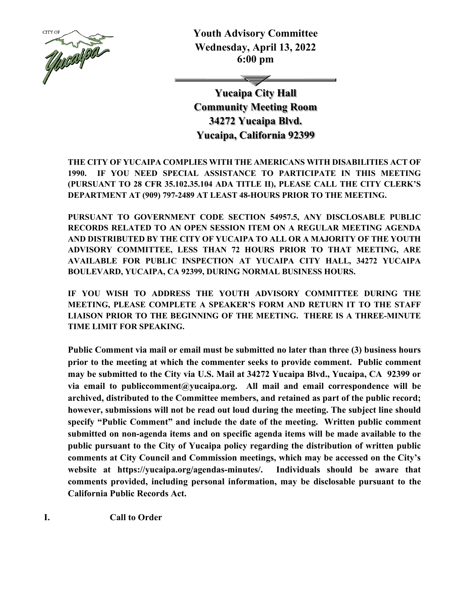

**Youth Advisory Committee Wednesday, April 13, 2022 6:00 pm**

**Yucaipa City Hall Community Meeting Room 34272 Yucaipa Blvd. Yucaipa, California 92399**

**THE CITY OF YUCAIPA COMPLIES WITH THE AMERICANS WITH DISABILITIES ACT OF 1990. IF YOU NEED SPECIAL ASSISTANCE TO PARTICIPATE IN THIS MEETING (PURSUANT TO 28 CFR 35.102.35.104 ADA TITLE II), PLEASE CALL THE CITY CLERK'S DEPARTMENT AT (909) 797-2489 AT LEAST 48-HOURS PRIOR TO THE MEETING.**

**PURSUANT TO GOVERNMENT CODE SECTION 54957.5, ANY DISCLOSABLE PUBLIC RECORDS RELATED TO AN OPEN SESSION ITEM ON A REGULAR MEETING AGENDA AND DISTRIBUTED BY THE CITY OF YUCAIPA TO ALL OR A MAJORITY OF THE YOUTH ADVISORY COMMITTEE, LESS THAN 72 HOURS PRIOR TO THAT MEETING, ARE AVAILABLE FOR PUBLIC INSPECTION AT YUCAIPA CITY HALL, 34272 YUCAIPA BOULEVARD, YUCAIPA, CA 92399, DURING NORMAL BUSINESS HOURS.**

**IF YOU WISH TO ADDRESS THE YOUTH ADVISORY COMMITTEE DURING THE MEETING, PLEASE COMPLETE A SPEAKER'S FORM AND RETURN IT TO THE STAFF LIAISON PRIOR TO THE BEGINNING OF THE MEETING. THERE IS A THREE-MINUTE TIME LIMIT FOR SPEAKING.**

**Public Comment via mail or email must be submitted no later than three (3) business hours prior to the meeting at which the commenter seeks to provide comment. Public comment may be submitted to the City via U.S. Mail at 34272 Yucaipa Blvd., Yucaipa, CA 92399 or via email to publiccomment@yucaipa.org. All mail and email correspondence will be archived, distributed to the Committee members, and retained as part of the public record; however, submissions will not be read out loud during the meeting. The subject line should specify "Public Comment" and include the date of the meeting. Written public comment submitted on non-agenda items and on specific agenda items will be made available to the public pursuant to the City of Yucaipa policy regarding the distribution of written public comments at City Council and Commission meetings, which may be accessed on the City's website at https://yucaipa.org/agendas-minutes/. Individuals should be aware that comments provided, including personal information, may be disclosable pursuant to the California Public Records Act.**

**I. Call to Order**